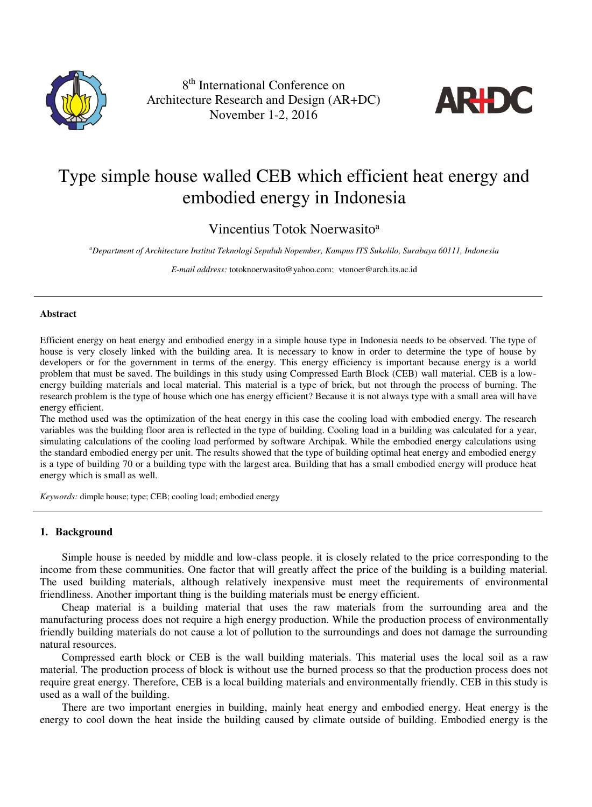

8 th International Conference on Architecture Research and Design (AR+DC) November 1-2, 2016



# Type simple house walled CEB which efficient heat energy and embodied energy in Indonesia

Vincentius Totok Noerwasito<sup>a</sup>

*<sup>a</sup>Department of Architecture Institut Teknologi Sepuluh Nopember, Kampus ITS Sukolilo, Surabaya 60111, Indonesia* 

*E-mail address:* [totoknoerwasito@yahoo.com;](mailto:totoknoerwasito@yahoo.com) [vtonoer@arch.its.ac.id](mailto:vtonoer@arch.its.ac.id) 

#### **Abstract**

Efficient energy on heat energy and embodied energy in a simple house type in Indonesia needs to be observed. The type of house is very closely linked with the building area. It is necessary to know in order to determine the type of house by developers or for the government in terms of the energy. This energy efficiency is important because energy is a world problem that must be saved. The buildings in this study using Compressed Earth Block (CEB) wall material. CEB is a lowenergy building materials and local material. This material is a type of brick, but not through the process of burning. The research problem is the type of house which one has energy efficient? Because it is not always type with a small area will have energy efficient.

The method used was the optimization of the heat energy in this case the cooling load with embodied energy. The research variables was the building floor area is reflected in the type of building. Cooling load in a building was calculated for a year, simulating calculations of the cooling load performed by software Archipak. While the embodied energy calculations using the standard embodied energy per unit. The results showed that the type of building optimal heat energy and embodied energy is a type of building 70 or a building type with the largest area. Building that has a small embodied energy will produce heat energy which is small as well.

*Keywords:* dimple house; type; CEB; cooling load; embodied energy

# **1. Background**

Simple house is needed by middle and low-class people. it is closely related to the price corresponding to the income from these communities. One factor that will greatly affect the price of the building is a building material. The used building materials, although relatively inexpensive must meet the requirements of environmental friendliness. Another important thing is the building materials must be energy efficient.

Cheap material is a building material that uses the raw materials from the surrounding area and the manufacturing process does not require a high energy production. While the production process of environmentally friendly building materials do not cause a lot of pollution to the surroundings and does not damage the surrounding natural resources.

Compressed earth block or CEB is the wall building materials. This material uses the local soil as a raw material. The production process of block is without use the burned process so that the production process does not require great energy. Therefore, CEB is a local building materials and environmentally friendly. CEB in this study is used as a wall of the building.

There are two important energies in building, mainly heat energy and embodied energy. Heat energy is the energy to cool down the heat inside the building caused by climate outside of building. Embodied energy is the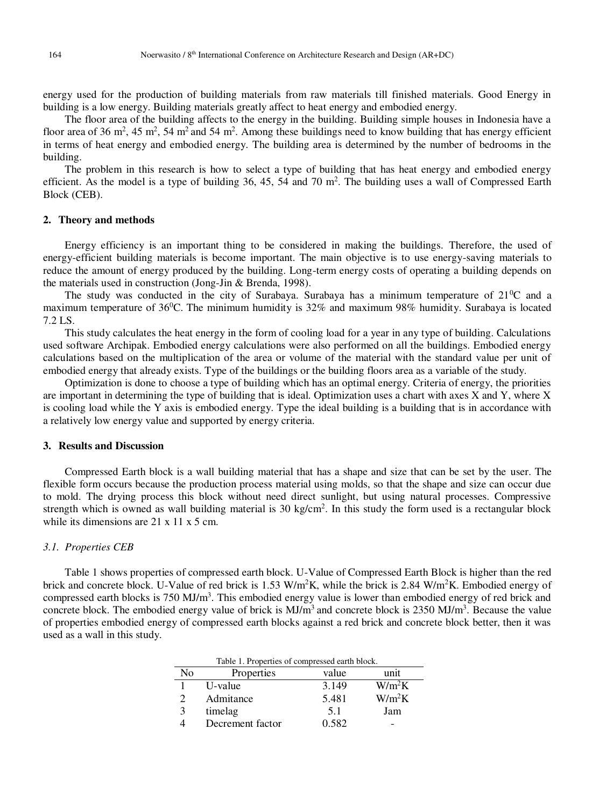energy used for the production of building materials from raw materials till finished materials. Good Energy in building is a low energy. Building materials greatly affect to heat energy and embodied energy.

The floor area of the building affects to the energy in the building. Building simple houses in Indonesia have a floor area of 36 m<sup>2</sup>, 45 m<sup>2</sup>, 54 m<sup>2</sup> and 54 m<sup>2</sup>. Among these buildings need to know building that has energy efficient in terms of heat energy and embodied energy. The building area is determined by the number of bedrooms in the building.

The problem in this research is how to select a type of building that has heat energy and embodied energy efficient. As the model is a type of building  $36$ ,  $45$ ,  $54$  and  $70$  m<sup>2</sup>. The building uses a wall of Compressed Earth Block (CEB).

## **2. Theory and methods**

Energy efficiency is an important thing to be considered in making the buildings. Therefore, the used of energy-efficient building materials is become important. The main objective is to use energy-saving materials to reduce the amount of energy produced by the building. Long-term energy costs of operating a building depends on the materials used in construction (Jong-Jin & Brenda, 1998).

The study was conducted in the city of Surabaya. Surabaya has a minimum temperature of 21<sup>0</sup>C and a maximum temperature of 36<sup>0</sup>C. The minimum humidity is 32% and maximum 98% humidity. Surabaya is located 7.2 LS.

This study calculates the heat energy in the form of cooling load for a year in any type of building. Calculations used software Archipak. Embodied energy calculations were also performed on all the buildings. Embodied energy calculations based on the multiplication of the area or volume of the material with the standard value per unit of embodied energy that already exists. Type of the buildings or the building floors area as a variable of the study.

Optimization is done to choose a type of building which has an optimal energy. Criteria of energy, the priorities are important in determining the type of building that is ideal. Optimization uses a chart with axes X and Y, where X is cooling load while the Y axis is embodied energy. Type the ideal building is a building that is in accordance with a relatively low energy value and supported by energy criteria.

#### **3. Results and Discussion**

Compressed Earth block is a wall building material that has a shape and size that can be set by the user. The flexible form occurs because the production process material using molds, so that the shape and size can occur due to mold. The drying process this block without need direct sunlight, but using natural processes. Compressive strength which is owned as wall building material is 30 kg/cm<sup>2</sup>. In this study the form used is a rectangular block while its dimensions are  $21 \times 11 \times 5$  cm.

#### *3.1. Properties CEB*

Table 1 shows properties of compressed earth block. U-Value of Compressed Earth Block is higher than the red brick and concrete block. U-Value of red brick is 1.53 W/m<sup>2</sup>K, while the brick is 2.84 W/m<sup>2</sup>K. Embodied energy of compressed earth blocks is 750 MJ/m<sup>3</sup>. This embodied energy value is lower than embodied energy of red brick and concrete block. The embodied energy value of brick is  $MJ/m<sup>3</sup>$  and concrete block is 2350  $MJ/m<sup>3</sup>$ . Because the value of properties embodied energy of compressed earth blocks against a red brick and concrete block better, then it was used as a wall in this study.

| Table 1. Properties of compressed earth block. |                  |       |          |  |  |  |
|------------------------------------------------|------------------|-------|----------|--|--|--|
| No                                             | Properties       | value | unit     |  |  |  |
|                                                | U-value          | 3.149 | $W/m^2K$ |  |  |  |
|                                                | Admitance        | 5.481 | $W/m^2K$ |  |  |  |
| 3                                              | timelag          | 5.1   | Jam      |  |  |  |
|                                                | Decrement factor | 0.582 |          |  |  |  |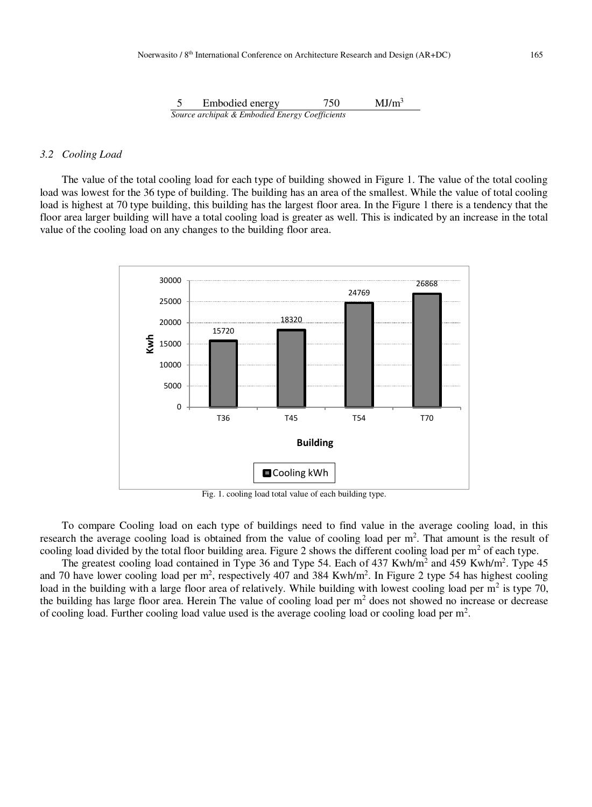5 Embodied energy 750 MJ/m<sup>3</sup> *Source archipak & Embodied Energy Coefficients* 

# *3.2 Cooling Load*

The value of the total cooling load for each type of building showed in Figure 1. The value of the total cooling load was lowest for the 36 type of building. The building has an area of the smallest. While the value of total cooling load is highest at 70 type building, this building has the largest floor area. In the Figure 1 there is a tendency that the floor area larger building will have a total cooling load is greater as well. This is indicated by an increase in the total value of the cooling load on any changes to the building floor area.



Fig. 1. cooling load total value of each building type.

To compare Cooling load on each type of buildings need to find value in the average cooling load, in this research the average cooling load is obtained from the value of cooling load per  $m<sup>2</sup>$ . That amount is the result of cooling load divided by the total floor building area. Figure 2 shows the different cooling load per  $m<sup>2</sup>$  of each type.

The greatest cooling load contained in Type 36 and Type 54. Each of 437 Kwh/m<sup>2</sup> and 459 Kwh/m<sup>2</sup>. Type 45 and 70 have lower cooling load per  $m^2$ , respectively 407 and 384 Kwh/m<sup>2</sup>. In Figure 2 type 54 has highest cooling load in the building with a large floor area of relatively. While building with lowest cooling load per  $m<sup>2</sup>$  is type 70, the building has large floor area. Herein The value of cooling load per  $m<sup>2</sup>$  does not showed no increase or decrease of cooling load. Further cooling load value used is the average cooling load or cooling load per  $m<sup>2</sup>$ .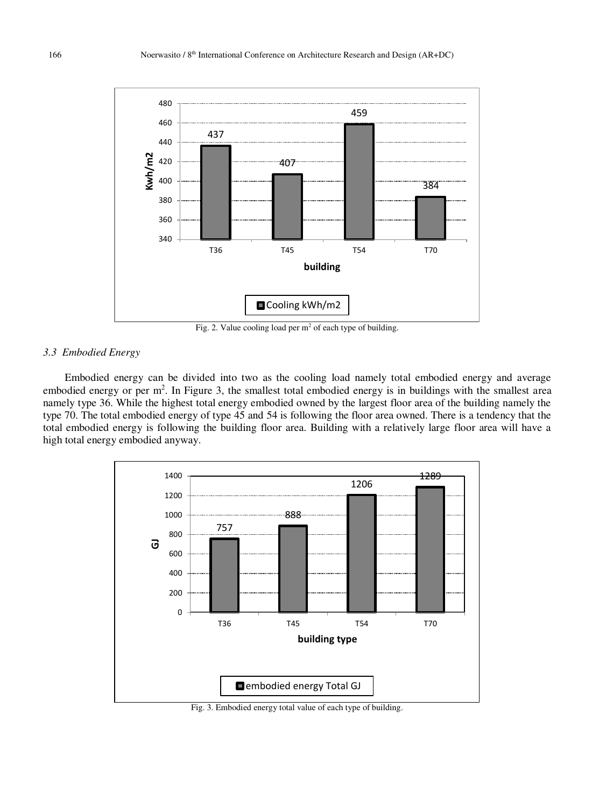

Fig. 2. Value cooling load per  $m<sup>2</sup>$  of each type of building.

# *3.3 Embodied Energy*

Embodied energy can be divided into two as the cooling load namely total embodied energy and average embodied energy or per  $m^2$ . In Figure 3, the smallest total embodied energy is in buildings with the smallest area namely type 36. While the highest total energy embodied owned by the largest floor area of the building namely the type 70. The total embodied energy of type 45 and 54 is following the floor area owned. There is a tendency that the total embodied energy is following the building floor area. Building with a relatively large floor area will have a high total energy embodied anyway.



Fig. 3. Embodied energy total value of each type of building.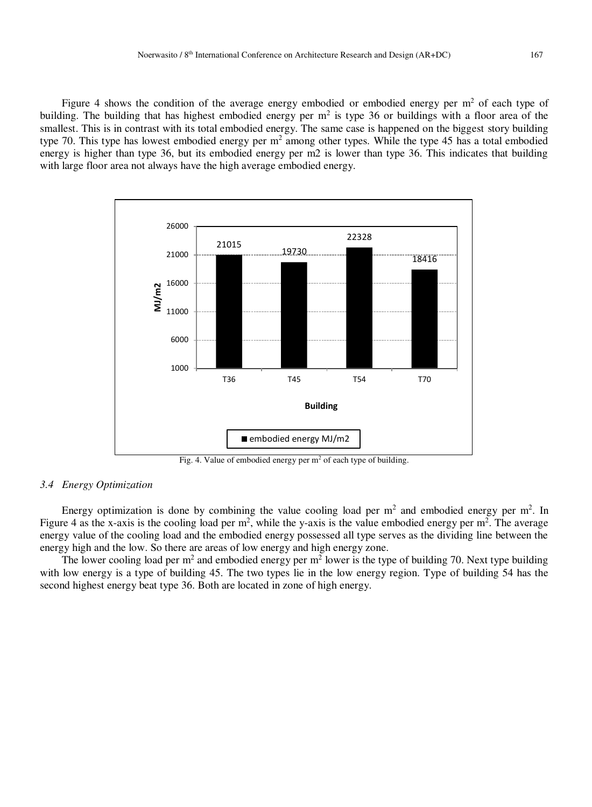Figure 4 shows the condition of the average energy embodied or embodied energy per  $m<sup>2</sup>$  of each type of building. The building that has highest embodied energy per  $m^2$  is type 36 or buildings with a floor area of the smallest. This is in contrast with its total embodied energy. The same case is happened on the biggest story building type 70. This type has lowest embodied energy per  $m^2$  among other types. While the type 45 has a total embodied energy is higher than type 36, but its embodied energy per m2 is lower than type 36. This indicates that building with large floor area not always have the high average embodied energy.



Fig. 4. Value of embodied energy per  $m<sup>2</sup>$  of each type of building.

# *3.4 Energy Optimization*

Energy optimization is done by combining the value cooling load per  $m<sup>2</sup>$  and embodied energy per  $m<sup>2</sup>$ . In Figure 4 as the x-axis is the cooling load per  $m^2$ , while the y-axis is the value embodied energy per  $m^2$ . The average energy value of the cooling load and the embodied energy possessed all type serves as the dividing line between the energy high and the low. So there are areas of low energy and high energy zone.

The lower cooling load per m<sup>2</sup> and embodied energy per m<sup>2</sup> lower is the type of building 70. Next type building with low energy is a type of building 45. The two types lie in the low energy region. Type of building 54 has the second highest energy beat type 36. Both are located in zone of high energy.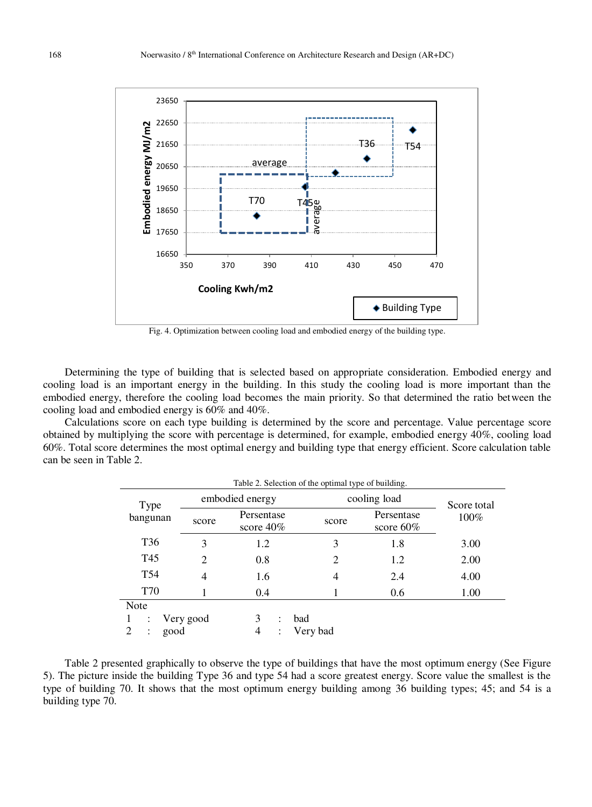

Fig. 4. Optimization between cooling load and embodied energy of the building type.

Determining the type of building that is selected based on appropriate consideration. Embodied energy and cooling load is an important energy in the building. In this study the cooling load is more important than the embodied energy, therefore the cooling load becomes the main priority. So that determined the ratio between the cooling load and embodied energy is 60% and 40%.

Calculations score on each type building is determined by the score and percentage. Value percentage score obtained by multiplying the score with percentage is determined, for example, embodied energy 40%, cooling load 60%. Total score determines the most optimal energy and building type that energy efficient. Score calculation table can be seen in Table 2.

| Table 2. Selection of the optimal type of building. |                 |                                  |              |                            |             |  |  |
|-----------------------------------------------------|-----------------|----------------------------------|--------------|----------------------------|-------------|--|--|
| Type                                                | embodied energy |                                  | cooling load |                            | Score total |  |  |
| bangunan                                            | score           | Persentase<br>score $40\%$       | score        | Persentase<br>score $60\%$ | 100%        |  |  |
| T <sub>36</sub>                                     | 3               | 1.2                              | 3            | 1.8                        | 3.00        |  |  |
| T <sub>45</sub>                                     | 2               | 0.8                              | 2            | 1.2                        | 2.00        |  |  |
| T <sub>54</sub>                                     | 4               | 1.6                              | 4            | 2.4                        | 4.00        |  |  |
| <b>T70</b>                                          |                 | 0.4                              |              | 0.6                        | 1.00        |  |  |
| Note                                                |                 |                                  |              |                            |             |  |  |
|                                                     | Very good       | 3<br>bad<br>$\ddot{\phantom{a}}$ |              |                            |             |  |  |
| $\overline{2}$<br>good                              |                 | 4<br>÷                           | Very bad     |                            |             |  |  |

Table 2 presented graphically to observe the type of buildings that have the most optimum energy (See Figure 5). The picture inside the building Type 36 and type 54 had a score greatest energy. Score value the smallest is the type of building 70. It shows that the most optimum energy building among 36 building types; 45; and 54 is a building type 70.